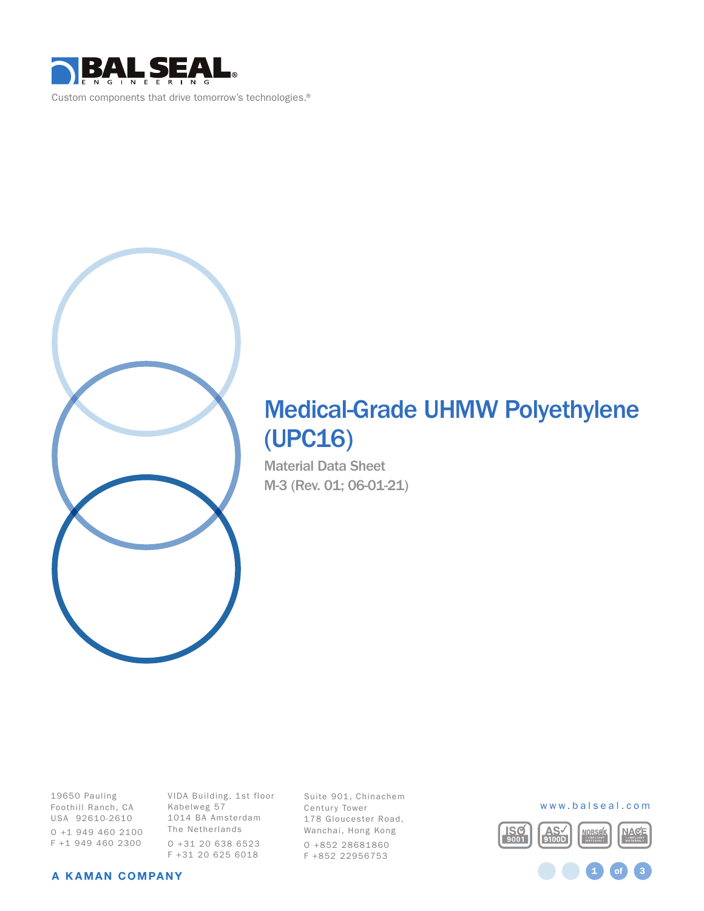



# Medical-Grade UHMW Polyethylene (UPC16)

Material Data Sheet M-3 (Rev. 01; 06-01-21)

19650 Pauling Foothill Ranch, CA USA 92610-2610 O +1 949 460 2100 F +1 949 460 2300

VIDA Building, 1st floor Kabelweg 57 1014 BA Amsterdam The Netherlands O +31 20 638 6523 F +31 20 625 6018

Suite 901, Chinachem Century Tower 178 Gloucester Road, Wanchai, Hong Kong O +852 28681860 F +852 22956753





A KAMAN COMPANY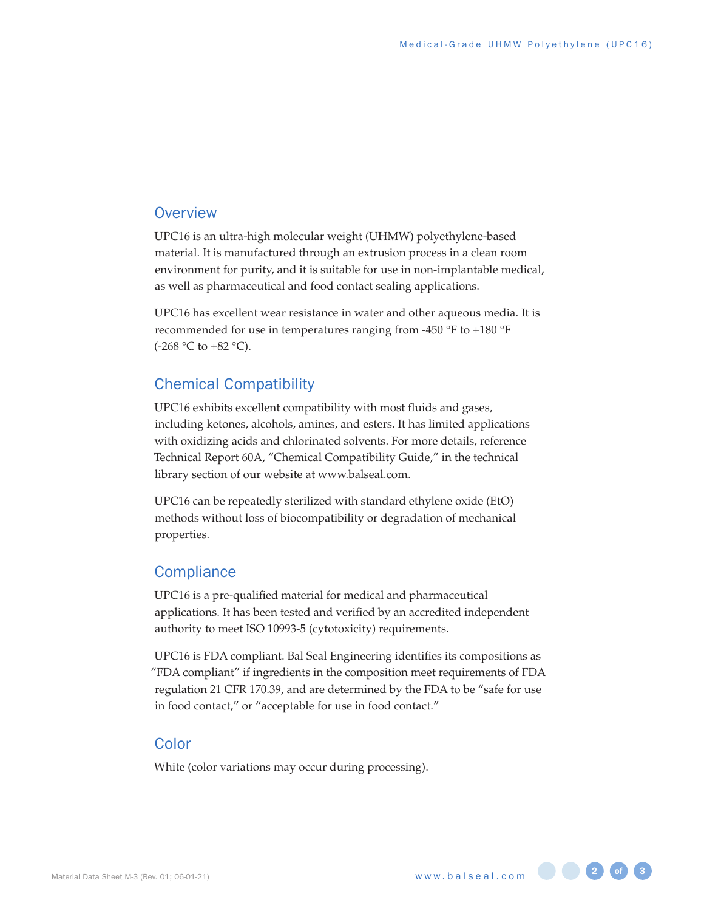# **Overview**

UPC16 is an ultra-high molecular weight (UHMW) polyethylene-based material. It is manufactured through an extrusion process in a clean room environment for purity, and it is suitable for use in non-implantable medical, as well as pharmaceutical and food contact sealing applications.

UPC16 has excellent wear resistance in water and other aqueous media. It is recommended for use in temperatures ranging from -450 °F to +180 °F  $(-268 °C)$  to  $+82 °C$ ).

# Chemical Compatibility

UPC16 exhibits excellent compatibility with most fluids and gases, including ketones, alcohols, amines, and esters. It has limited applications with oxidizing acids and chlorinated solvents. For more details, reference Technical Report 60A, "Chemical Compatibility Guide," in the technical library section of our website at www.balseal.com.

UPC16 can be repeatedly sterilized with standard ethylene oxide (EtO) methods without loss of biocompatibility or degradation of mechanical properties.

#### **Compliance**

UPC16 is a pre-qualified material for medical and pharmaceutical applications. It has been tested and verified by an accredited independent authority to meet ISO 10993-5 (cytotoxicity) requirements.

UPC16 is FDA compliant. Bal Seal Engineering identifies its compositions as "FDA compliant" if ingredients in the composition meet requirements of FDA regulation 21 CFR 170.39, and are determined by the FDA to be "safe for use in food contact," or "acceptable for use in food contact."

#### Color

White (color variations may occur during processing).